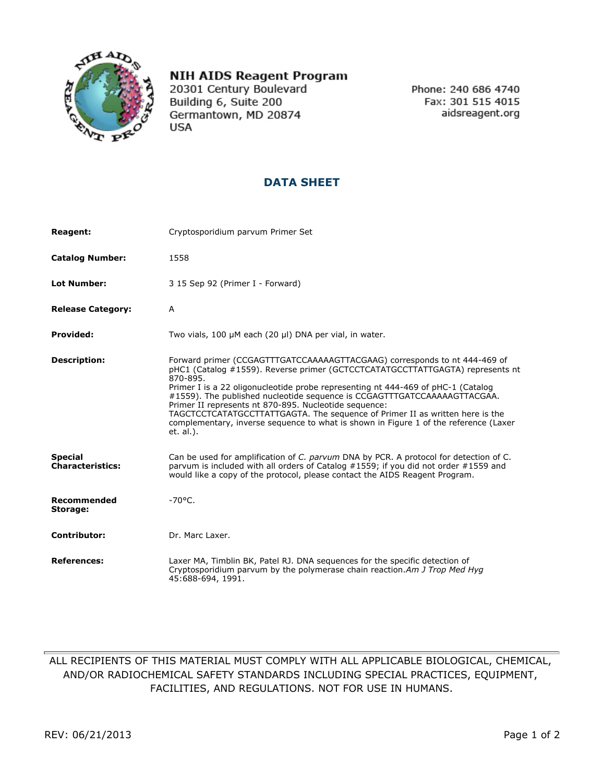

## **NIH AIDS Reagent Program**

20301 Century Boulevard Building 6, Suite 200 Germantown, MD 20874 **USA** 

Phone: 240 686 4740 Fax: 301 515 4015 aidsreagent.org

## **DATA SHEET**

| <b>Reagent:</b>                           | Cryptosporidium parvum Primer Set                                                                                                                                                                                                                                                                                                                                                                                                                                                                                                                                                    |
|-------------------------------------------|--------------------------------------------------------------------------------------------------------------------------------------------------------------------------------------------------------------------------------------------------------------------------------------------------------------------------------------------------------------------------------------------------------------------------------------------------------------------------------------------------------------------------------------------------------------------------------------|
| <b>Catalog Number:</b>                    | 1558                                                                                                                                                                                                                                                                                                                                                                                                                                                                                                                                                                                 |
| <b>Lot Number:</b>                        | 3 15 Sep 92 (Primer I - Forward)                                                                                                                                                                                                                                                                                                                                                                                                                                                                                                                                                     |
| <b>Release Category:</b>                  | A                                                                                                                                                                                                                                                                                                                                                                                                                                                                                                                                                                                    |
| <b>Provided:</b>                          | Two vials, 100 µM each (20 µl) DNA per vial, in water.                                                                                                                                                                                                                                                                                                                                                                                                                                                                                                                               |
| <b>Description:</b>                       | Forward primer (CCGAGTTTGATCCAAAAAGTTACGAAG) corresponds to nt 444-469 of<br>pHC1 (Catalog #1559). Reverse primer (GCTCCTCATATGCCTTATTGAGTA) represents nt<br>870-895.<br>Primer I is a 22 oligonucleotide probe representing nt 444-469 of pHC-1 (Catalog<br>#1559). The published nucleotide sequence is CCGAGTTTGATCCAAAAAGTTACGAA.<br>Primer II represents nt 870-895. Nucleotide sequence:<br>TAGCTCCTCATATGCCTTATTGAGTA. The seguence of Primer II as written here is the<br>complementary, inverse sequence to what is shown in Figure 1 of the reference (Laxer<br>et. al.). |
| <b>Special</b><br><b>Characteristics:</b> | Can be used for amplification of C. parvum DNA by PCR. A protocol for detection of C.<br>parvum is included with all orders of Catalog #1559; if you did not order #1559 and<br>would like a copy of the protocol, please contact the AIDS Reagent Program.                                                                                                                                                                                                                                                                                                                          |
| Recommended<br>Storage:                   | $-70^{\circ}$ C.                                                                                                                                                                                                                                                                                                                                                                                                                                                                                                                                                                     |
| <b>Contributor:</b>                       | Dr. Marc Laxer.                                                                                                                                                                                                                                                                                                                                                                                                                                                                                                                                                                      |
| <b>References:</b>                        | Laxer MA, Timblin BK, Patel RJ. DNA sequences for the specific detection of<br>Cryptosporidium parvum by the polymerase chain reaction. Am J Trop Med Hyg<br>45:688-694, 1991.                                                                                                                                                                                                                                                                                                                                                                                                       |

## ALL RECIPIENTS OF THIS MATERIAL MUST COMPLY WITH ALL APPLICABLE BIOLOGICAL, CHEMICAL, AND/OR RADIOCHEMICAL SAFETY STANDARDS INCLUDING SPECIAL PRACTICES, EQUIPMENT, FACILITIES, AND REGULATIONS. NOT FOR USE IN HUMANS.